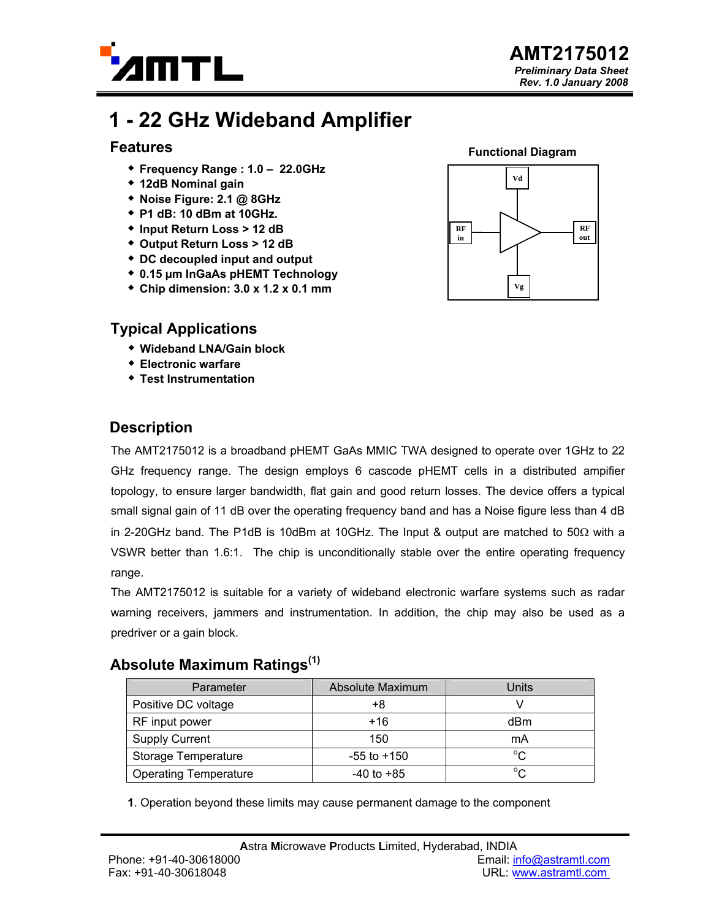

# **1 - 22 GHz Wideband Amplifier**

#### **Features**

- **Frequency Range : 1.0 22.0GHz**
- **12dB Nominal gain**
- **Noise Figure: 2.1 @ 8GHz**
- **P1 dB: 10 dBm at 10GHz.**
- **Input Return Loss > 12 dB**
- **Output Return Loss > 12 dB**
- **DC decoupled input and output**
- **0.15 µm InGaAs pHEMT Technology**
- **Chip dimension: 3.0 x 1.2 x 0.1 mm**

### **Typical Applications**

- **Wideband LNA/Gain block**
- **Electronic warfare**
- **Test Instrumentation**

### **Functional Diagram**



### **Description**

The AMT2175012 is a broadband pHEMT GaAs MMIC TWA designed to operate over 1GHz to 22 GHz frequency range. The design employs 6 cascode pHEMT cells in a distributed ampifier topology, to ensure larger bandwidth, flat gain and good return losses. The device offers a typical small signal gain of 11 dB over the operating frequency band and has a Noise figure less than 4 dB in 2-20GHz band. The P1dB is 10dBm at 10GHz. The Input & output are matched to 50 $\Omega$  with a VSWR better than 1.6:1. The chip is unconditionally stable over the entire operating frequency range.

The AMT2175012 is suitable for a variety of wideband electronic warfare systems such as radar warning receivers, jammers and instrumentation. In addition, the chip may also be used as a predriver or a gain block.

### **Absolute Maximum Ratings(1)**

| Parameter                    | Absolute Maximum | Units       |
|------------------------------|------------------|-------------|
| Positive DC voltage          | +8               |             |
| RF input power               | $+16$            | dBm         |
| <b>Supply Current</b>        | 150              | mA          |
| Storage Temperature          | $-55$ to $+150$  | $^{\circ}C$ |
| <b>Operating Temperature</b> | $-40$ to $+85$   | $\sim$      |

**1**. Operation beyond these limits may cause permanent damage to the component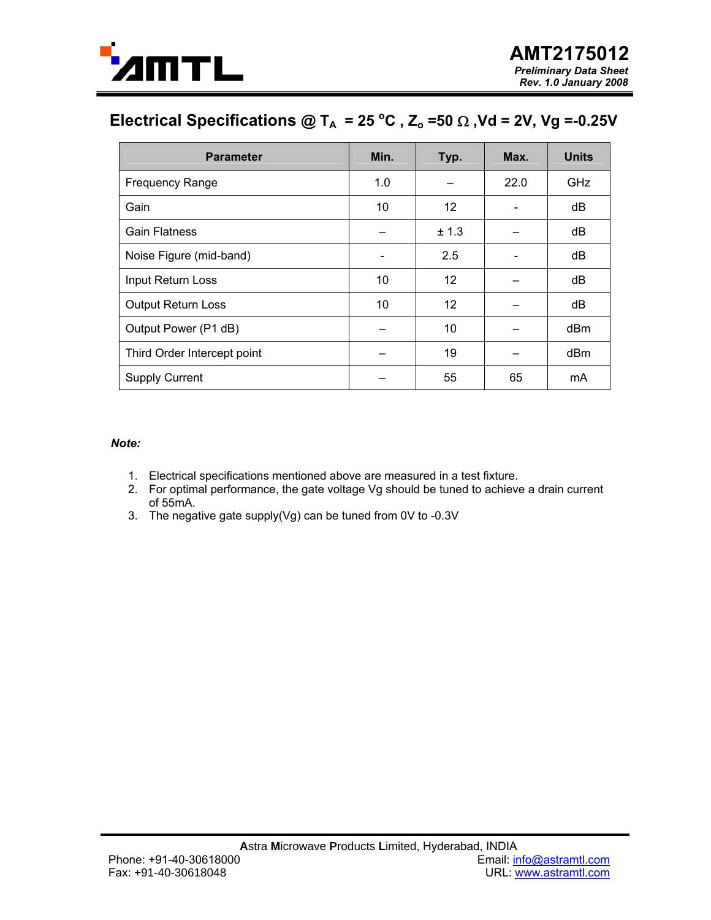

## Electrical Specifications @ T<sub>A</sub> = 25 °C, Z<sub>o</sub>=50  $\Omega$ , Vd = 2V, Vg =-0.25V

| <b>Parameter</b>            | Min. | Typ.  | Max. | <b>Units</b> |
|-----------------------------|------|-------|------|--------------|
| <b>Frequency Range</b>      | 1.0  |       | 22.0 | GHz          |
| Gain                        | 10   | 12    |      | dB           |
| <b>Gain Flatness</b>        |      | ± 1.3 |      | dB           |
| Noise Figure (mid-band)     |      | 2.5   |      | dB           |
| Input Return Loss           | 10   | 12    |      | dB           |
| <b>Output Return Loss</b>   | 10   | 12    |      | dB           |
| Output Power (P1 dB)        |      | 10    |      | dBm          |
| Third Order Intercept point |      | 19    |      | dBm          |
| <b>Supply Current</b>       |      | 55    | 65   | mA           |

*Note:* 

- 1. Electrical specifications mentioned above are measured in a test fixture.
- 2. For optimal performance, the gate voltage Vg should be tuned to achieve a drain current of 55mA.
- 3. The negative gate supply(Vg) can be tuned from 0V to -0.3V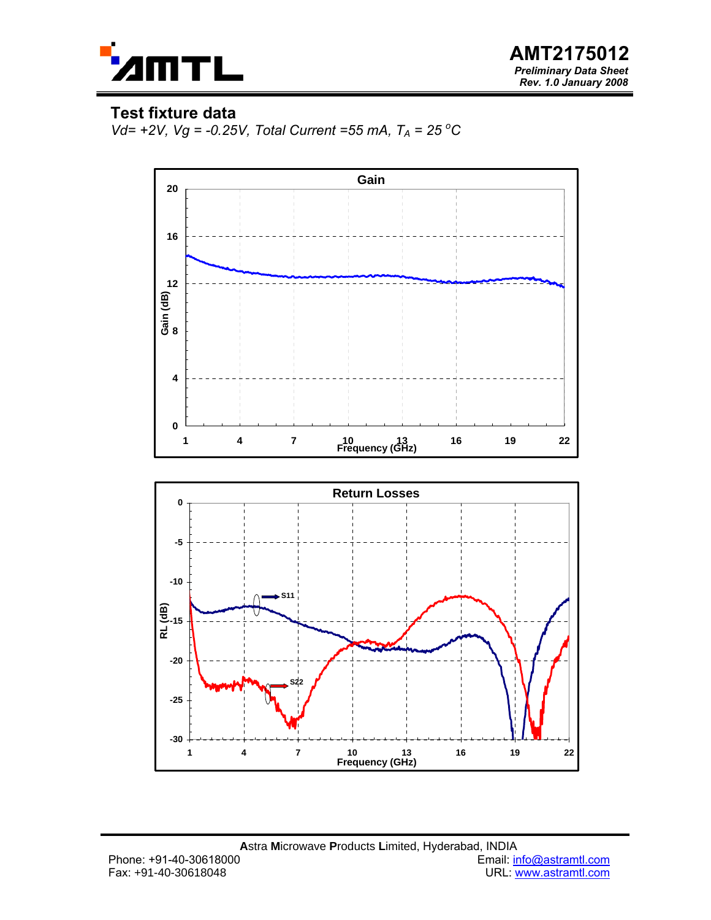

**AMT2175012**  *Preliminary Data Sheet Rev. 1.0 January 2008*

### **Test fixture data**

*Vd*= +2*V*, *Vg* = -0.25*V*, *Total Current* =55 *mA*,  $T_A$  = 25 <sup>o</sup>C

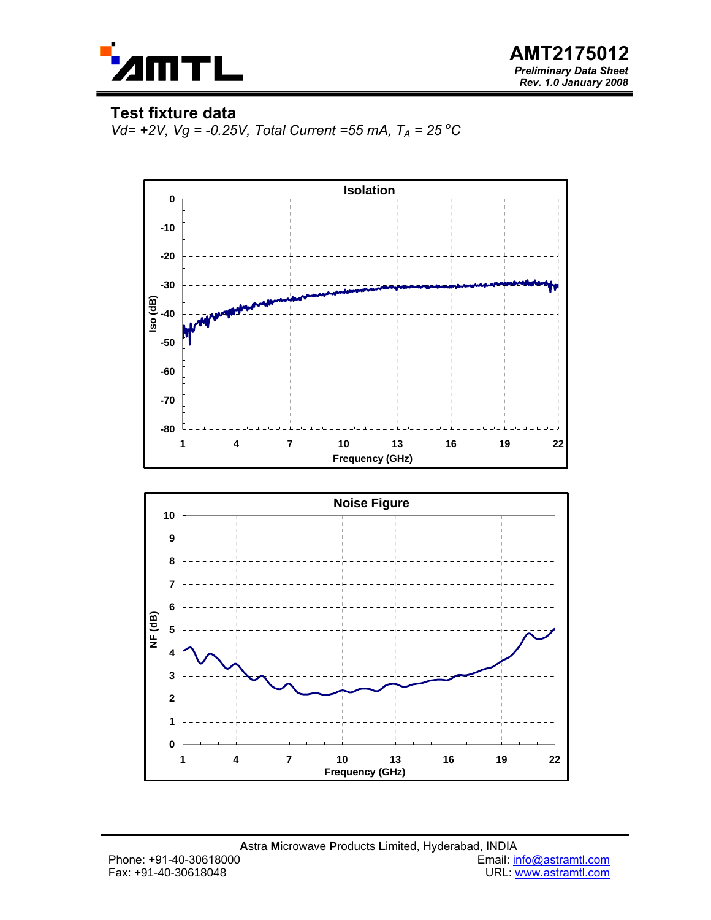

**AMT2175012**  *Preliminary Data Sheet Rev. 1.0 January 2008*

### **Test fixture data**

*Vd*= +2*V*, *Vg* = -0.25*V*, *Total Current* =55 *mA*,  $T_A$  = 25 <sup>o</sup>C



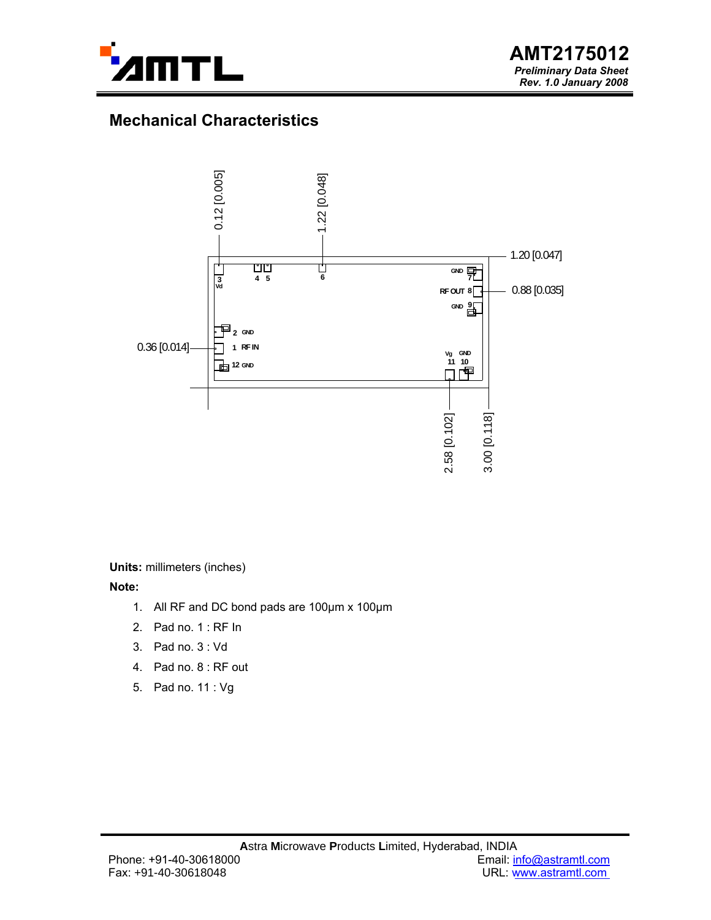

### **Mechanical Characteristics**



**Units:** millimeters (inches)

**Note:** 

- 1. All RF and DC bond pads are 100µm x 100µm
- 2. Pad no. 1 : RF In
- 3. Pad no. 3 : Vd
- 4. Pad no. 8 : RF out
- 5. Pad no. 11 : Vg